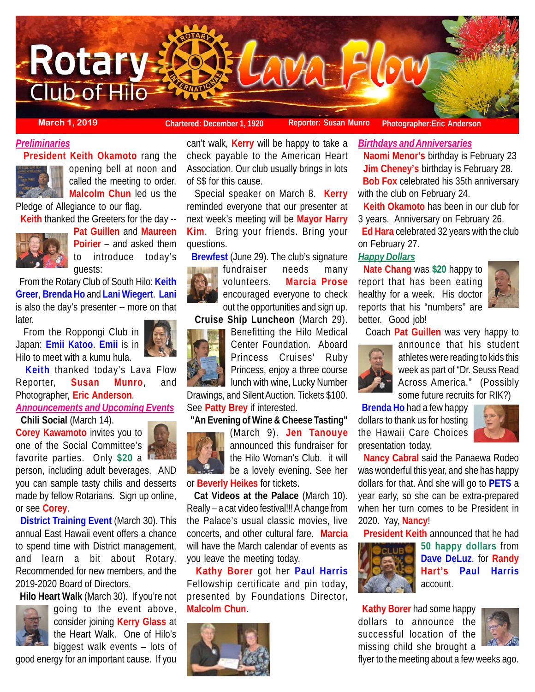

**March 1, 2019 Chartered: December 1, 1920 Reporter: Susan Munro Photographer: Eric Anderson** 

## *Preliminaries*

**President Keith Okamoto** rang the



opening bell at noon and called the meeting to order. **Malcolm Chun** led us the

Pledge of Allegiance to our flag.

**Keith** thanked the Greeters for the day --



**Pat Guillen** and **Maureen Poirier** – and asked them to introduce today's guests:

 From the Rotary Club of South Hilo: **Keith Greer**, **Brenda Ho** and **Lani Wiegert**. **Lani** is also the day's presenter -- more on that later.

 From the Roppongi Club in Japan: **Emii Katoo**. **Emii** is in Hilo to meet with a kumu hula.

 **Keith** thanked today's Lava Flow Reporter, **Susan Munro**, and Photographer, **Eric Anderson**.

*Announcements and Upcoming Events*

**Chili Social** (March 14).



person, including adult beverages. AND you can sample tasty chilis and desserts made by fellow Rotarians. Sign up online, or see **Corey**.

 **District Training Event** (March 30). This annual East Hawaii event offers a chance to spend time with District management, and learn a bit about Rotary. Recommended for new members, and the 2019-2020 Board of Directors.

**Hilo Heart Walk** (March 30). If you're not



going to the event above, consider joining **Kerry Glass** at the Heart Walk. One of Hilo's biggest walk events – lots of

good energy for an important cause. If you

can't walk, **Kerry** will be happy to take a check payable to the American Heart Association. Our club usually brings in lots of \$\$ for this cause.

 Special speaker on March 8. **Kerry** reminded everyone that our presenter at next week's meeting will be **Mayor Harry Kim**. Bring your friends. Bring your questions.

 **Brewfest** (June 29). The club's signature fundraiser needs many



volunteers. **Marcia Prose** encouraged everyone to check out the opportunities and sign up. **Cruise Ship Luncheon** (March 29). Benefitting the Hilo Medical

Center Foundation. Aboard Princess Cruises' Ruby Princess, enjoy a three course **I** lunch with wine, Lucky Number

Drawings, and Silent Auction. Tickets \$100. See **Patty Brey** if interested.

#### **"An Evening of Wine & Cheese Tasting"**



(March 9). **Jen Tanouye** announced this fundraiser for the Hilo Woman's Club. it will be a lovely evening. See her

or **Beverly Heikes** for tickets. **Cat Videos at the Palace** (March 10).

Really – a cat video festival!!! A change from the Palace's usual classic movies, live concerts, and other cultural fare. **Marcia** will have the March calendar of events as you leave the meeting today.

 **Kathy Borer** got her **Paul Harris** Fellowship certificate and pin today, presented by Foundations Director, **Malcolm Chun**.



*Birthdays and Anniversaries*

 **Naomi Menor's** birthday is February 23 **Jim Cheney's** birthday is February 28. **Bob Fox** celebrated his 35th anniversary with the club on February 24.

 **Keith Okamoto** has been in our club for 3 years. Anniversary on February 26.

 **Ed Hara** celebrated 32 years with the club on February 27.

## *Happy Dollars*

 **Nate Chang** was **\$20** happy to report that has been eating healthy for a week. His doctor reports that his "numbers" are better. Good job!



Coach **Pat Guillen** was very happy to



announce that his student athletes were reading to kids this week as part of "Dr. Seuss Read Across America." (Possibly some future recruits for RIK?)

 **Brenda Ho** had a few happy dollars to thank us for hosting the Hawaii Care Choices presentation today.



 **Nancy Cabral** said the Panaewa Rodeo was wonderful this year, and she has happy dollars for that. And she will go to **PETS** a year early, so she can be extra-prepared when her turn comes to be President in 2020. Yay, **Nancy**!

**President Keith** announced that he had



**50 happy dollars** from **Dave DeLuz**, for **Randy Hart's Paul Harris** account.

 **Kathy Borer** had some happy dollars to announce the successful location of the missing child she brought a



flyer to the meeting about a few weeks ago.